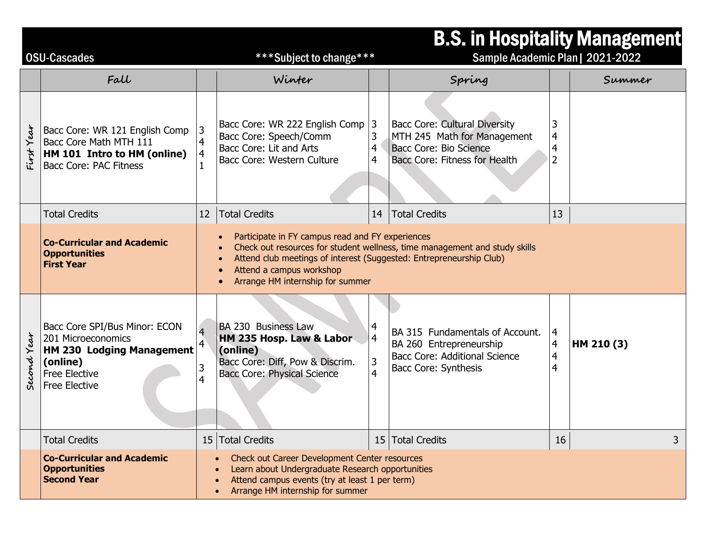## B.S. in Hospitality Management **B.S.**<br>Sample Academic Plan| 2021-2022

|             | Fall                                                                                                                                         |                                                                                                                                                                                                                                                                                    | Winter                                                                                                                                      |                                            | Spring                                                                                                                         |                                            | Summer         |
|-------------|----------------------------------------------------------------------------------------------------------------------------------------------|------------------------------------------------------------------------------------------------------------------------------------------------------------------------------------------------------------------------------------------------------------------------------------|---------------------------------------------------------------------------------------------------------------------------------------------|--------------------------------------------|--------------------------------------------------------------------------------------------------------------------------------|--------------------------------------------|----------------|
| First Year  | Bacc Core: WR 121 English Comp<br>Bacc Core Math MTH 111<br>HM 101 Intro to HM (online)<br>Bacc Core: PAC Fitness                            | 3<br>$\overline{4}$<br>$\overline{\mathbf{4}}$                                                                                                                                                                                                                                     | Bacc Core: WR 222 English Comp<br>Bacc Core: Speech/Comm<br>Bacc Core: Lit and Arts<br>Bacc Core: Western Culture                           | 3<br>3<br>$\overline{4}$<br>$\overline{4}$ | <b>Bacc Core: Cultural Diversity</b><br>MTH 245 Math for Management<br>Bacc Core: Bio Science<br>Bacc Core: Fitness for Health | 3<br>4<br>4<br>$\overline{2}$              |                |
|             | <b>Total Credits</b>                                                                                                                         | 12                                                                                                                                                                                                                                                                                 | <b>Total Credits</b>                                                                                                                        | 14                                         | Total Credits                                                                                                                  | 13                                         |                |
|             | <b>Co-Curricular and Academic</b><br><b>Opportunities</b><br><b>First Year</b>                                                               | Participate in FY campus read and FY experiences<br>Check out resources for student wellness, time management and study skills<br>Attend club meetings of interest (Suggested: Entrepreneurship Club)<br>Attend a campus workshop<br>$\bullet$<br>Arrange HM internship for summer |                                                                                                                                             |                                            |                                                                                                                                |                                            |                |
| Second Year | Bacc Core SPI/Bus Minor: ECON<br>201 Microeconomics<br>HM 230 Lodging Management<br>(online)<br><b>Free Elective</b><br><b>Free Elective</b> | $\overline{4}$<br>$\overline{4}$<br>3<br>$\overline{4}$                                                                                                                                                                                                                            | <b>BA 230 Business Law</b><br>HM 235 Hosp. Law & Labor<br>(online)<br>Bacc Core: Diff, Pow & Discrim.<br><b>Bacc Core: Physical Science</b> | 4<br>$\overline{4}$<br>3<br>$\overline{4}$ | BA 315 Fundamentals of Account.<br>BA 260 Entrepreneurship<br><b>Bacc Core: Additional Science</b><br>Bacc Core: Synthesis     | 4<br>$\overline{4}$<br>$\overline{4}$<br>4 | HM 210 (3)     |
|             | <b>Total Credits</b>                                                                                                                         | 15                                                                                                                                                                                                                                                                                 | <b>Total Credits</b>                                                                                                                        |                                            | 15 Total Credits                                                                                                               | 16                                         | $\overline{3}$ |
|             | <b>Co-Curricular and Academic</b><br><b>Opportunities</b><br><b>Second Year</b>                                                              | Check out Career Development Center resources<br>Learn about Undergraduate Research opportunities<br>Attend campus events (try at least 1 per term)<br>Arrange HM internship for summer                                                                                            |                                                                                                                                             |                                            |                                                                                                                                |                                            |                |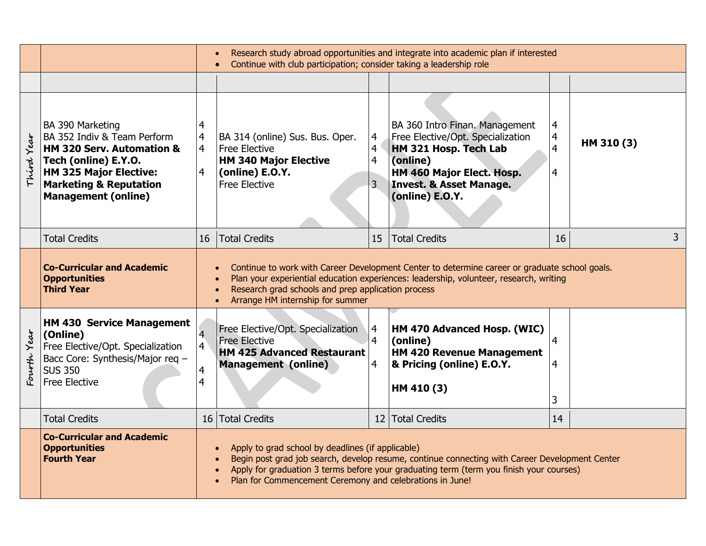|               |                                                                                                                                                                                                                 | Research study abroad opportunities and integrate into academic plan if interested<br>Continue with club participation; consider taking a leadership role                                                                                                                                                  |                                                                                                                                    |                                                    |                                                                                                                                                                                     |                  |            |  |  |
|---------------|-----------------------------------------------------------------------------------------------------------------------------------------------------------------------------------------------------------------|------------------------------------------------------------------------------------------------------------------------------------------------------------------------------------------------------------------------------------------------------------------------------------------------------------|------------------------------------------------------------------------------------------------------------------------------------|----------------------------------------------------|-------------------------------------------------------------------------------------------------------------------------------------------------------------------------------------|------------------|------------|--|--|
|               |                                                                                                                                                                                                                 |                                                                                                                                                                                                                                                                                                            |                                                                                                                                    |                                                    |                                                                                                                                                                                     |                  |            |  |  |
| Year<br>Third | <b>BA 390 Marketing</b><br>BA 352 Indiv & Team Perform<br>HM 320 Serv. Automation &<br>Tech (online) E.Y.O.<br><b>HM 325 Major Elective:</b><br><b>Marketing &amp; Reputation</b><br><b>Management (online)</b> | 4<br>$\overline{4}$<br>$\overline{4}$<br>4                                                                                                                                                                                                                                                                 | BA 314 (online) Sus. Bus. Oper.<br><b>Free Elective</b><br><b>HM 340 Major Elective</b><br>(online) E.O.Y.<br><b>Free Elective</b> | 4<br>$\overline{4}$<br>4<br>$\overline{3}$         | BA 360 Intro Finan. Management<br>Free Elective/Opt. Specialization<br>HM 321 Hosp. Tech Lab<br>(online)<br>HM 460 Major Elect. Hosp.<br>Invest. & Asset Manage.<br>(online) E.O.Y. | 4<br>4<br>4<br>4 | HM 310 (3) |  |  |
|               | <b>Total Credits</b>                                                                                                                                                                                            | 16                                                                                                                                                                                                                                                                                                         | <b>Total Credits</b>                                                                                                               | 15                                                 | <b>Total Credits</b>                                                                                                                                                                | 16               | 3          |  |  |
|               | <b>Co-Curricular and Academic</b><br><b>Opportunities</b><br><b>Third Year</b>                                                                                                                                  | Continue to work with Career Development Center to determine career or graduate school goals.<br>Plan your experiential education experiences: leadership, volunteer, research, writing<br>Research grad schools and prep application process<br>Arrange HM internship for summer                          |                                                                                                                                    |                                                    |                                                                                                                                                                                     |                  |            |  |  |
| Fourth Year   | <b>HM 430 Service Management</b><br>(Online)<br>Free Elective/Opt. Specialization<br>Bacc Core: Synthesis/Major reg -<br><b>SUS 350</b><br>Free Elective                                                        | $\overline{4}$<br>$\overline{4}$<br>4<br>4                                                                                                                                                                                                                                                                 | Free Elective/Opt. Specialization<br><b>Free Elective</b><br><b>HM 425 Advanced Restaurant</b><br><b>Management (online)</b>       | $\overline{4}$<br>$\overline{4}$<br>$\overline{4}$ | HM 470 Advanced Hosp. (WIC)<br>(online)<br><b>HM 420 Revenue Management</b><br>& Pricing (online) E.O.Y.<br>HM 410 (3)                                                              | 4<br>4<br>3      |            |  |  |
|               | <b>Total Credits</b>                                                                                                                                                                                            | 16 <sup>1</sup>                                                                                                                                                                                                                                                                                            | <b>Total Credits</b>                                                                                                               |                                                    | 12 Total Credits                                                                                                                                                                    | 14               |            |  |  |
|               | <b>Co-Curricular and Academic</b><br><b>Opportunities</b><br><b>Fourth Year</b>                                                                                                                                 | Apply to grad school by deadlines (if applicable)<br>Begin post grad job search, develop resume, continue connecting with Career Development Center<br>Apply for graduation 3 terms before your graduating term (term you finish your courses)<br>Plan for Commencement Ceremony and celebrations in June! |                                                                                                                                    |                                                    |                                                                                                                                                                                     |                  |            |  |  |